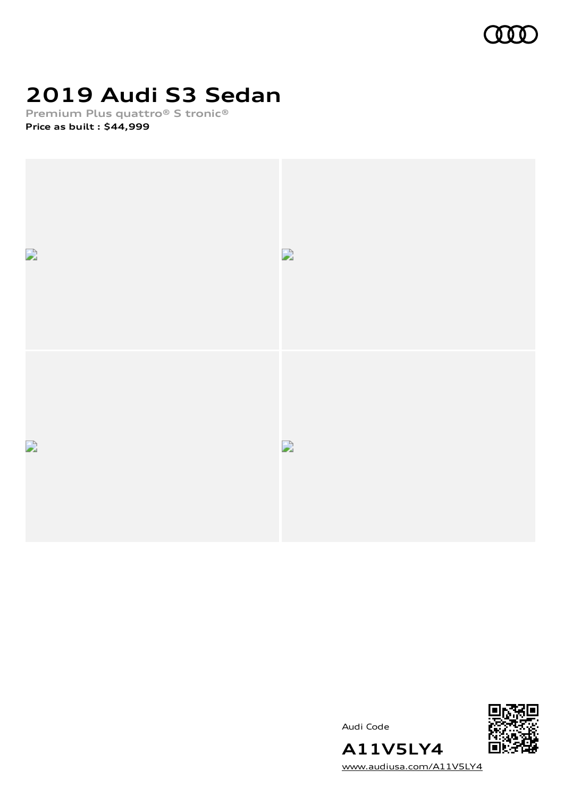

## **2019 Audi S3 Sedan**

**Premium Plus quattro® S tronic® Price as built [:](#page-11-0) \$44,999**





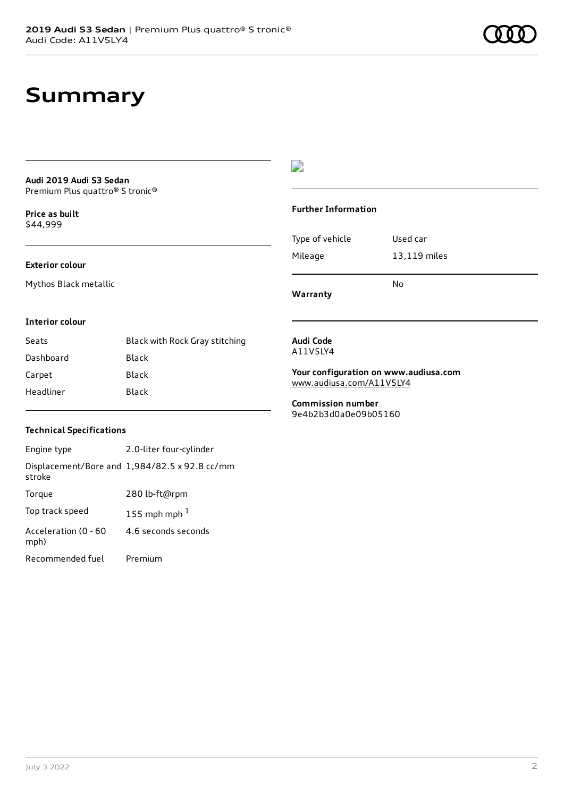### **Summary**

#### **Audi 2019 Audi S3 Sedan** Premium Plus quattro® S tronic®

**Price as buil[t](#page-11-0)** \$44,999

### **Exterior colour**

Mythos Black metallic

### $\overline{\phantom{a}}$

#### **Further Information**

|                 | No           |
|-----------------|--------------|
| Mileage         | 13,119 miles |
| Type of vehicle | Used car     |

**Warranty**

#### **Interior colour**

| Seats     | Black with Rock Gray stitching |
|-----------|--------------------------------|
| Dashboard | Black                          |
| Carpet    | Black                          |
| Headliner | Black                          |

#### **Audi Code** A11V5LY4

**Your configuration on www.audiusa.com** [www.audiusa.com/A11V5LY4](https://www.audiusa.com/A11V5LY4)

**Commission number** 9e4b2b3d0a0e09b05160

#### **Technical Specifications**

| Engine type                  | 2.0-liter four-cylinder                       |
|------------------------------|-----------------------------------------------|
| stroke                       | Displacement/Bore and 1,984/82.5 x 92.8 cc/mm |
| Torque                       | 280 lb-ft@rpm                                 |
| Top track speed              | 155 mph mph $1$                               |
| Acceleration (0 - 60<br>mph) | 4.6 seconds seconds                           |
| Recommended fuel             | Premium                                       |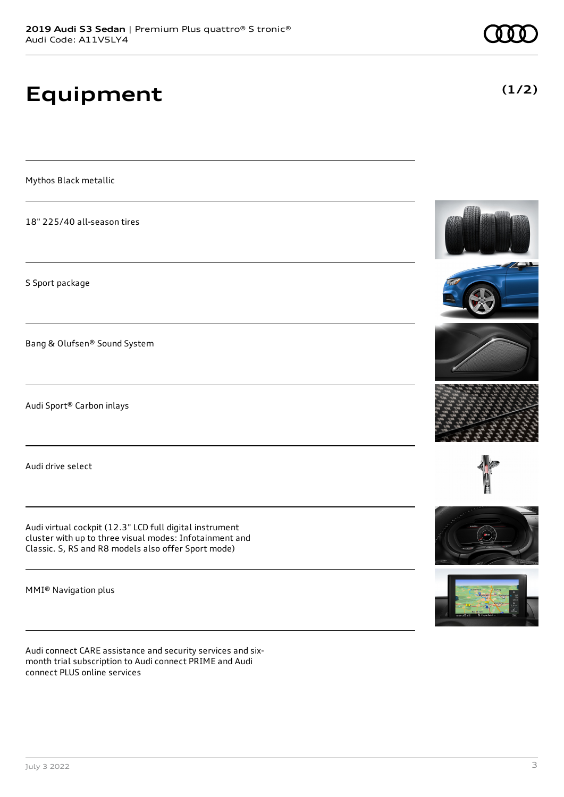## **Equipment**

Mythos Black metallic

18" 225/40 all-season tires

S Sport package

Bang & Olufsen® Sound System

Audi Sport® Carbon inlays

Audi drive select

Audi virtual cockpit (12.3" LCD full digital instrument cluster with up to three visual modes: Infotainment and Classic. S, RS and R8 models also offer Sport mode)

MMI® Navigation plus

Audi connect CARE assistance and security services and sixmonth trial subscription to Audi connect PRIME and Audi connect PLUS online services

















**(1/2)**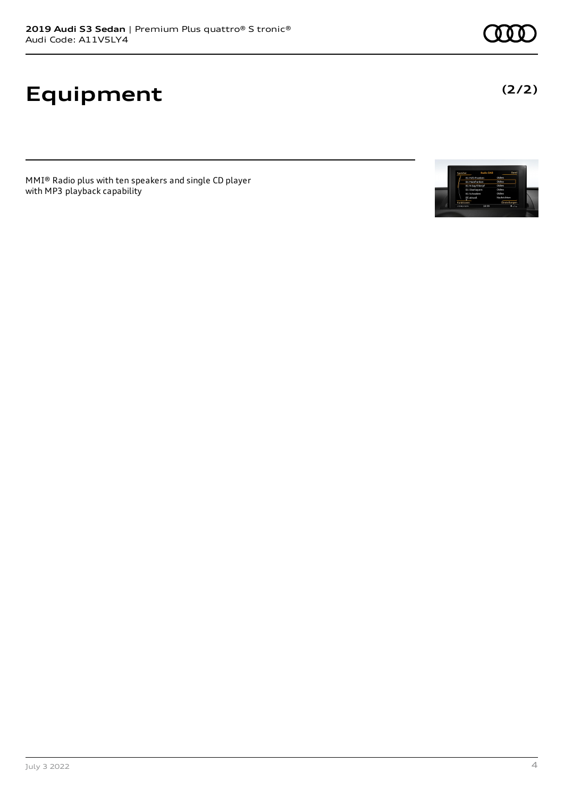# **Equipment**

MMI® Radio plus with ten speakers and single CD player with MP3 playback capability





**(2/2)**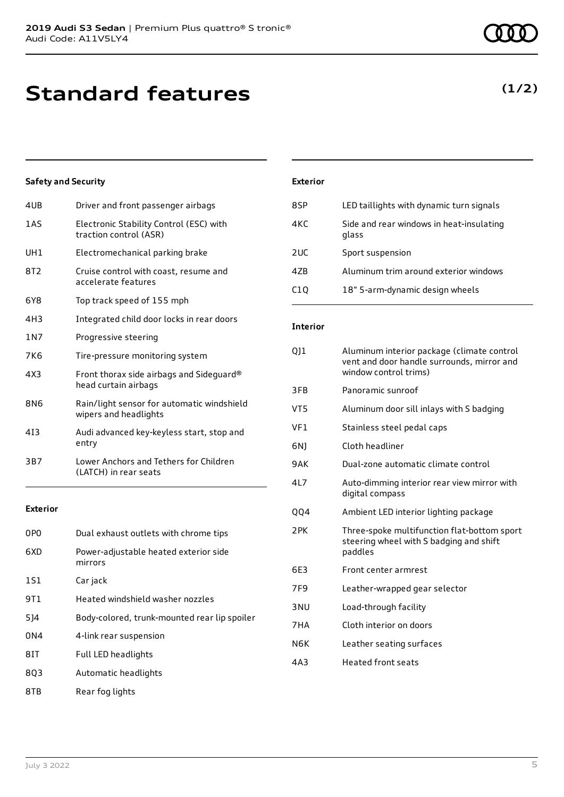### **Standard features**

### **Safety and Security**

| 4UB             | Driver and front passenger airbags                                  |
|-----------------|---------------------------------------------------------------------|
| 1AS             | Electronic Stability Control (ESC) with<br>traction control (ASR)   |
| UH1             | Electromechanical parking brake                                     |
| 8T <sub>2</sub> | Cruise control with coast, resume and<br>accelerate features        |
| 6Y8             | Top track speed of 155 mph                                          |
| 4H3             | Integrated child door locks in rear doors                           |
| 1 N 7           | Progressive steering                                                |
| 7K6             | Tire-pressure monitoring system                                     |
| 4X3             | Front thorax side airbags and Sideguard®<br>head curtain airbags    |
| 8N6             | Rain/light sensor for automatic windshield<br>wipers and headlights |
| 413             | Audi advanced key-keyless start, stop and<br>entry                  |
| 3B7             | Lower Anchors and Tethers for Children<br>(LATCH) in rear seats     |
|                 |                                                                     |

#### **Exterior**

| 0P <sub>0</sub> | Dual exhaust outlets with chrome tips            |
|-----------------|--------------------------------------------------|
| 6XD             | Power-adjustable heated exterior side<br>mirrors |
| 1S1             | Car jack                                         |
| 9T1             | Heated windshield washer nozzles                 |
| 5]4             | Body-colored, trunk-mounted rear lip spoiler     |
| 0 <sub>N4</sub> | 4-link rear suspension                           |
| 8IT             | Full LED headlights                              |
| 803             | Automatic headlights                             |
| 8TB             | Rear fog lights                                  |

### **Exterior** 8SP LED taillights with dynamic turn signals 4KC Side and rear windows in heat-insulating glass 2UC Sport suspension 4ZB Aluminum trim around exterior windows C1Q 18" 5-arm-dynamic design wheels

### **Interior**

| 011             | Aluminum interior package (climate control<br>vent and door handle surrounds, mirror and<br>window control trims) |
|-----------------|-------------------------------------------------------------------------------------------------------------------|
| 3FB             | Panoramic sunroof                                                                                                 |
| VT5             | Aluminum door sill inlays with S badging                                                                          |
| VF1             | Stainless steel pedal caps                                                                                        |
| 6N)             | Cloth headliner                                                                                                   |
| 9AK             | Dual-zone automatic climate control                                                                               |
| 417             | Auto-dimming interior rear view mirror with<br>digital compass                                                    |
| QQ4             | Ambient LED interior lighting package                                                                             |
| 2PK             | Three-spoke multifunction flat-bottom sport<br>steering wheel with S badging and shift<br>paddles                 |
| 6F3             | Front center armrest                                                                                              |
| 7F <sub>9</sub> | Leather-wrapped gear selector                                                                                     |
| 3 <sub>NU</sub> | Load-through facility                                                                                             |
| 7HA             | Cloth interior on doors                                                                                           |
| N6K             | Leather seating surfaces                                                                                          |
| 4A3             | <b>Heated front seats</b>                                                                                         |

### **(1/2)**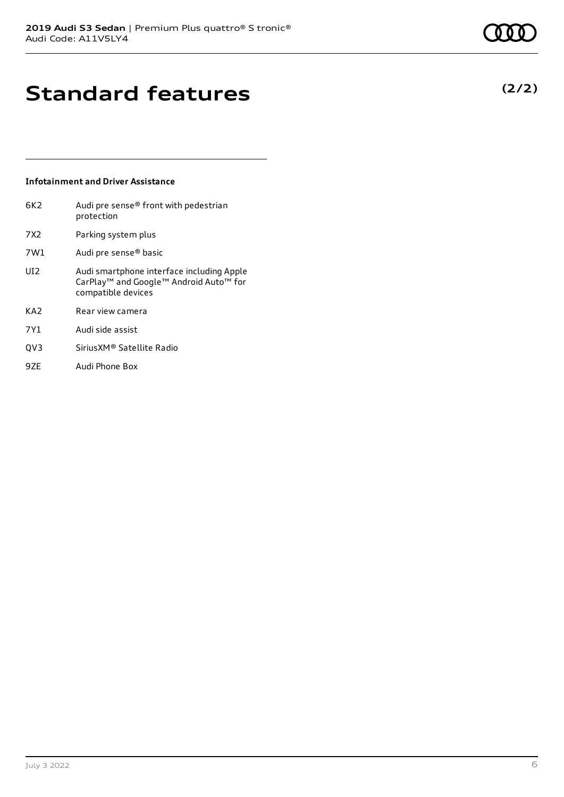### **Standard features**

#### **Infotainment and Driver Assistance**

| 6K2             | Audi pre sense® front with pedestrian<br>protection                                                                   |
|-----------------|-----------------------------------------------------------------------------------------------------------------------|
| 7X2             | Parking system plus                                                                                                   |
| 7W1             | Audi pre sense® basic                                                                                                 |
| UI <sub>2</sub> | Audi smartphone interface including Apple<br>CarPlay <sup>™</sup> and Google™ Android Auto™ for<br>compatible devices |
| KA2             | Rear view camera                                                                                                      |
| 7Y1             | Audi side assist                                                                                                      |
| QV3             | Sirius XM <sup>®</sup> Satellite Radio                                                                                |
| 9ZE             | Audi Phone Box                                                                                                        |

**(2/2)**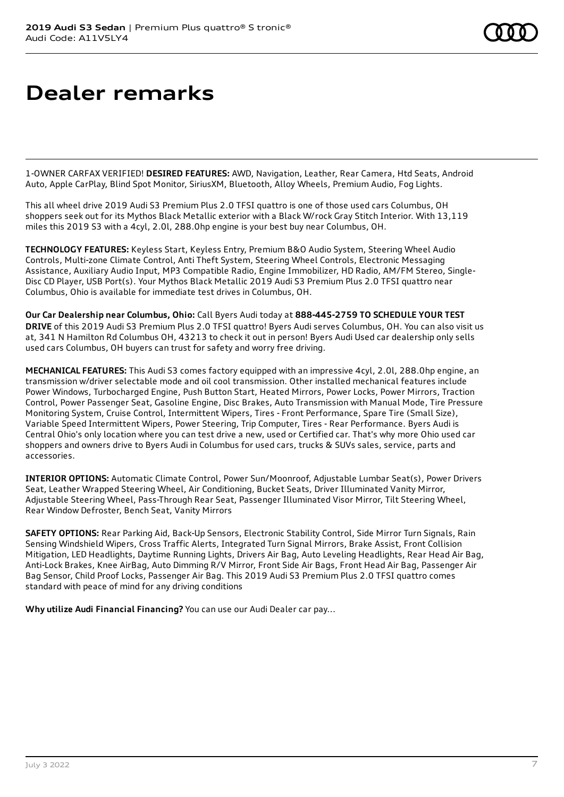### **Dealer remarks**

1-OWNER CARFAX VERIFIED! **DESIRED FEATURES:** AWD, Navigation, Leather, Rear Camera, Htd Seats, Android Auto, Apple CarPlay, Blind Spot Monitor, SiriusXM, Bluetooth, Alloy Wheels, Premium Audio, Fog Lights.

This all wheel drive 2019 Audi S3 Premium Plus 2.0 TFSI quattro is one of those used cars Columbus, OH shoppers seek out for its Mythos Black Metallic exterior with a Black W/rock Gray Stitch Interior. With 13,119 miles this 2019 S3 with a 4cyl, 2.0l, 288.0hp engine is your best buy near Columbus, OH.

**TECHNOLOGY FEATURES:** Keyless Start, Keyless Entry, Premium B&O Audio System, Steering Wheel Audio Controls, Multi-zone Climate Control, Anti Theft System, Steering Wheel Controls, Electronic Messaging Assistance, Auxiliary Audio Input, MP3 Compatible Radio, Engine Immobilizer, HD Radio, AM/FM Stereo, Single-Disc CD Player, USB Port(s). Your Mythos Black Metallic 2019 Audi S3 Premium Plus 2.0 TFSI quattro near Columbus, Ohio is available for immediate test drives in Columbus, OH.

**Our Car Dealership near Columbus, Ohio:** Call Byers Audi today at **888-445-2759 TO SCHEDULE YOUR TEST DRIVE** of this 2019 Audi S3 Premium Plus 2.0 TFSI quattro! Byers Audi serves Columbus, OH. You can also visit us at, 341 N Hamilton Rd Columbus OH, 43213 to check it out in person! Byers Audi Used car dealership only sells used cars Columbus, OH buyers can trust for safety and worry free driving.

**MECHANICAL FEATURES:** This Audi S3 comes factory equipped with an impressive 4cyl, 2.0l, 288.0hp engine, an transmission w/driver selectable mode and oil cool transmission. Other installed mechanical features include Power Windows, Turbocharged Engine, Push Button Start, Heated Mirrors, Power Locks, Power Mirrors, Traction Control, Power Passenger Seat, Gasoline Engine, Disc Brakes, Auto Transmission with Manual Mode, Tire Pressure Monitoring System, Cruise Control, Intermittent Wipers, Tires - Front Performance, Spare Tire (Small Size), Variable Speed Intermittent Wipers, Power Steering, Trip Computer, Tires - Rear Performance. Byers Audi is Central Ohio's only location where you can test drive a new, used or Certified car. That's why more Ohio used car shoppers and owners drive to Byers Audi in Columbus for used cars, trucks & SUVs sales, service, parts and accessories.

**INTERIOR OPTIONS:** Automatic Climate Control, Power Sun/Moonroof, Adjustable Lumbar Seat(s), Power Drivers Seat, Leather Wrapped Steering Wheel, Air Conditioning, Bucket Seats, Driver Illuminated Vanity Mirror, Adjustable Steering Wheel, Pass-Through Rear Seat, Passenger Illuminated Visor Mirror, Tilt Steering Wheel, Rear Window Defroster, Bench Seat, Vanity Mirrors

**SAFETY OPTIONS:** Rear Parking Aid, Back-Up Sensors, Electronic Stability Control, Side Mirror Turn Signals, Rain Sensing Windshield Wipers, Cross Traffic Alerts, Integrated Turn Signal Mirrors, Brake Assist, Front Collision Mitigation, LED Headlights, Daytime Running Lights, Drivers Air Bag, Auto Leveling Headlights, Rear Head Air Bag, Anti-Lock Brakes, Knee AirBag, Auto Dimming R/V Mirror, Front Side Air Bags, Front Head Air Bag, Passenger Air Bag Sensor, Child Proof Locks, Passenger Air Bag. This 2019 Audi S3 Premium Plus 2.0 TFSI quattro comes standard with peace of mind for any driving conditions

**Why utilize Audi Financial Financing?** You can use our Audi Dealer car pay...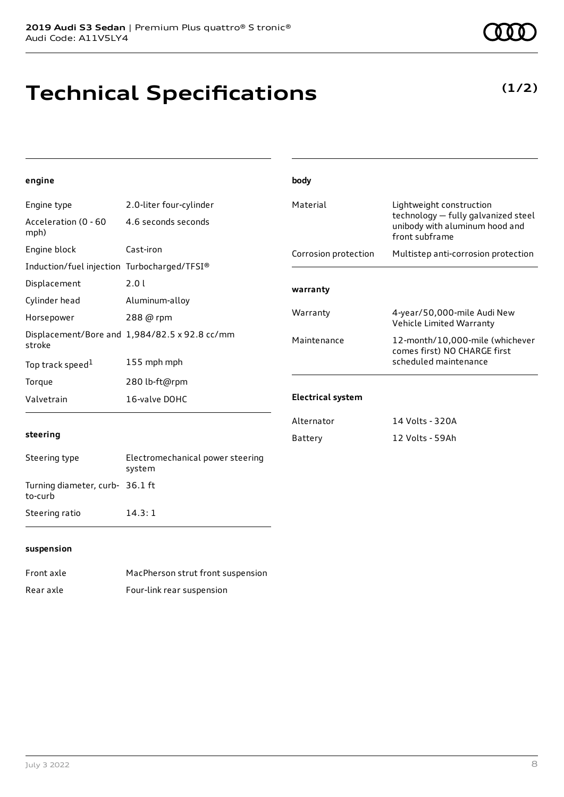### **Technical Specifications**

**(1/2)**

| engine                                      |                                               | body                     |                                                                                                                     |
|---------------------------------------------|-----------------------------------------------|--------------------------|---------------------------------------------------------------------------------------------------------------------|
| Engine type                                 | 2.0-liter four-cylinder                       | Material                 | Lightweight construction<br>technology - fully galvanized steel<br>unibody with aluminum hood and<br>front subframe |
| Acceleration (0 - 60<br>mph)                | 4.6 seconds seconds                           |                          |                                                                                                                     |
| Engine block                                | Cast-iron                                     | Corrosion protection     | Multistep anti-corrosion protection                                                                                 |
| Induction/fuel injection Turbocharged/TFSI® |                                               |                          |                                                                                                                     |
| Displacement                                | 2.0 l                                         | warranty                 |                                                                                                                     |
| Cylinder head                               | Aluminum-alloy                                |                          |                                                                                                                     |
| Horsepower                                  | 288 @ rpm                                     | Warranty                 | 4-year/50,000-mile Audi New<br>Vehicle Limited Warranty                                                             |
| stroke                                      | Displacement/Bore and 1,984/82.5 x 92.8 cc/mm | Maintenance              | 12-month/10,000-mile (whichever<br>comes first) NO CHARGE first                                                     |
| Top track speed <sup>1</sup>                | 155 mph mph                                   |                          | scheduled maintenance                                                                                               |
| Torque                                      | 280 lb-ft@rpm                                 |                          |                                                                                                                     |
| Valvetrain                                  | 16-valve DOHC                                 | <b>Electrical system</b> |                                                                                                                     |
|                                             |                                               | Alternator               | 14 Volts - 320A                                                                                                     |
| steering                                    |                                               | Battery                  | 12 Volts - 59Ah                                                                                                     |
| Steering type                               | Electromechanical power steering<br>system    |                          |                                                                                                                     |
| Turning diameter, curb- 36.1 ft<br>to-curb  |                                               |                          |                                                                                                                     |
| Steering ratio                              | 14.3:1                                        |                          |                                                                                                                     |
|                                             |                                               |                          |                                                                                                                     |

#### **suspension**

| Front axle | MacPherson strut front suspension |
|------------|-----------------------------------|
| Rear axle  | Four-link rear suspension         |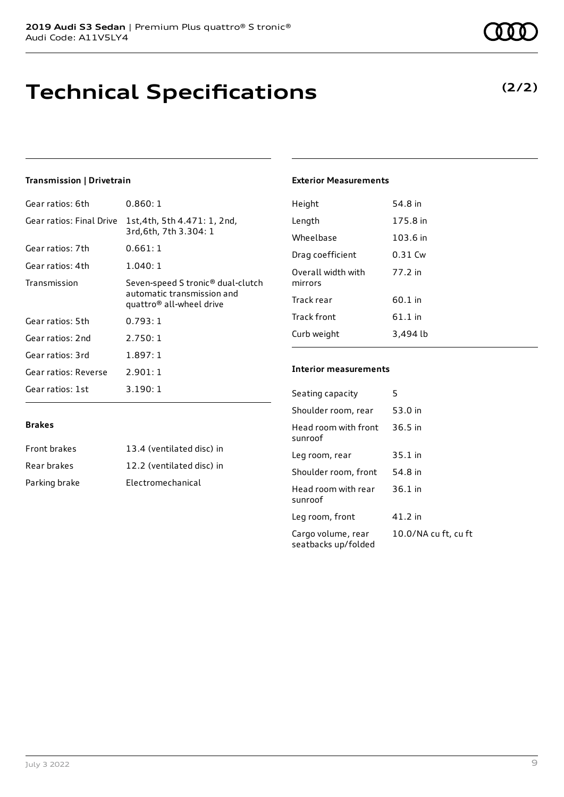### **Technical Specifications**

### **Transmission | Drivetrain**

| Gear ratios: 6th         | 0.860:1                                                                                                             |
|--------------------------|---------------------------------------------------------------------------------------------------------------------|
| Gear ratios: Final Drive | 1st,4th, 5th 4.471: 1, 2nd,<br>3rd, 6th, 7th 3.304: 1                                                               |
| Gear ratios: 7th         | 0.661:1                                                                                                             |
| Gear ratios: 4th         | 1.040:1                                                                                                             |
| Transmission             | Seven-speed S tronic <sup>®</sup> dual-clutch<br>automatic transmission and<br>quattro <sup>®</sup> all-wheel drive |
| Gear ratios: 5th         | 0.793:1                                                                                                             |
| Gear ratios: 2nd         | 2.750:1                                                                                                             |
| Gear ratios: 3rd         | 1.897:1                                                                                                             |
| Gear ratios: Reverse     | 2.901:1                                                                                                             |
| Gear ratios: 1st         | 3.190:1                                                                                                             |

#### **Exterior Measurements**

| Height                        | 54.8 in   |
|-------------------------------|-----------|
| Length                        | 175.8 in  |
| Wheelbase                     | 103.6 in  |
| Drag coefficient              | 0.31 Cw   |
| Overall width with<br>mirrors | 77.2 in   |
| Track rear                    | 60.1 in   |
| Track front                   | $61.1$ in |
| Curb weight                   | 3,494 lb  |
|                               |           |

#### **Interior measurements**

Seating capacity 5

Head room with front

Head room with rear

Cargo volume, rear seatbacks up/folded

sunroof

sunroof

Shoulder room, rear 53.0 in

Leg room, rear 35.1 in Shoulder room, front 54.8 in

Leg room, front 41.2 in

36.5 in

36.1 in

10.0/NA cu ft, cu ft

| <b>Front brakes</b> | 13.4 (ventilated disc) in |
|---------------------|---------------------------|
| Rear brakes         | 12.2 (ventilated disc) in |
| Parking brake       | Electromechanical         |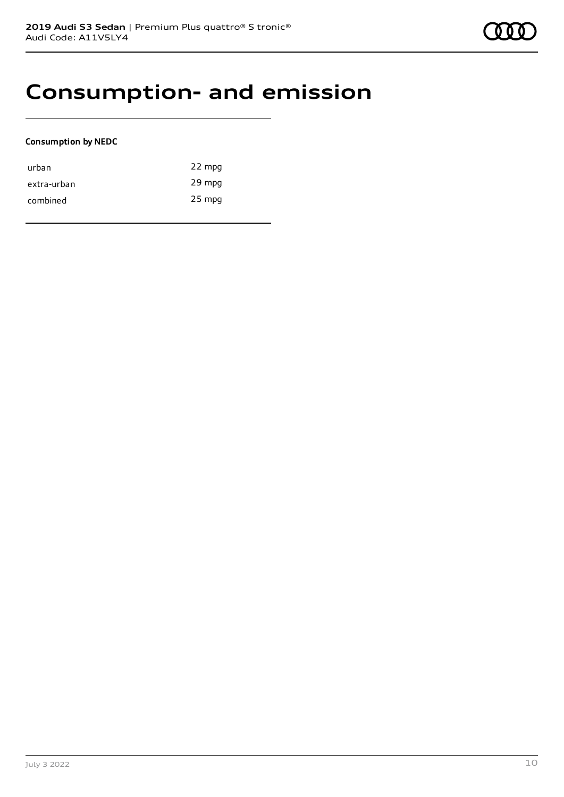### **Consumption- and emission**

### **Consumption by NEDC**

| urban       | 22 mpg   |
|-------------|----------|
| extra-urban | 29 mpg   |
| combined    | $25$ mpg |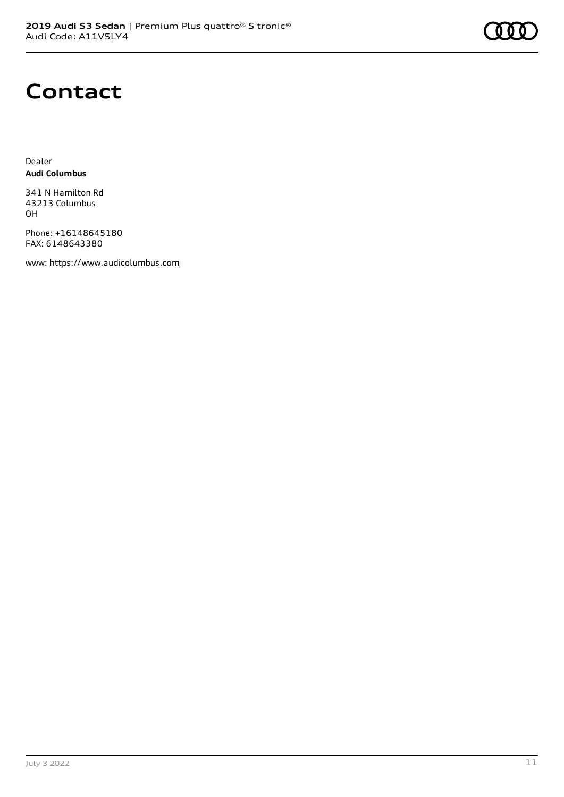

### **Contact**

Dealer **Audi Columbus**

341 N Hamilton Rd 43213 Columbus OH

Phone: +16148645180 FAX: 6148643380

www: [https://www.audicolumbus.com](https://www.audicolumbus.com/)